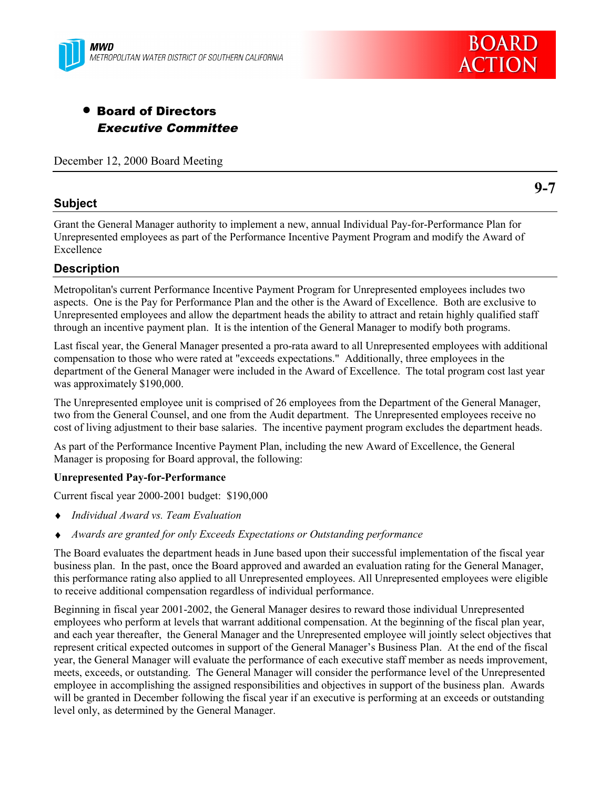



# • Board of Directors Executive Committee

December 12, 2000 Board Meeting

## **Subject**

Grant the General Manager authority to implement a new, annual Individual Pay-for-Performance Plan for Unrepresented employees as part of the Performance Incentive Payment Program and modify the Award of Excellence

## **Description**

Metropolitan's current Performance Incentive Payment Program for Unrepresented employees includes two aspects. One is the Pay for Performance Plan and the other is the Award of Excellence. Both are exclusive to Unrepresented employees and allow the department heads the ability to attract and retain highly qualified staff through an incentive payment plan. It is the intention of the General Manager to modify both programs.

Last fiscal year, the General Manager presented a pro-rata award to all Unrepresented employees with additional compensation to those who were rated at "exceeds expectations." Additionally, three employees in the department of the General Manager were included in the Award of Excellence. The total program cost last year was approximately \$190,000.

The Unrepresented employee unit is comprised of 26 employees from the Department of the General Manager, two from the General Counsel, and one from the Audit department. The Unrepresented employees receive no cost of living adjustment to their base salaries. The incentive payment program excludes the department heads.

As part of the Performance Incentive Payment Plan, including the new Award of Excellence, the General Manager is proposing for Board approval, the following:

#### **Unrepresented Pay-for-Performance**

Current fiscal year 2000-2001 budget: \$190,000

- ♦ *Individual Award vs. Team Evaluation*
- ♦ *Awards are granted for only Exceeds Expectations or Outstanding performance*

The Board evaluates the department heads in June based upon their successful implementation of the fiscal year business plan. In the past, once the Board approved and awarded an evaluation rating for the General Manager, this performance rating also applied to all Unrepresented employees. All Unrepresented employees were eligible to receive additional compensation regardless of individual performance.

Beginning in fiscal year 2001-2002, the General Manager desires to reward those individual Unrepresented employees who perform at levels that warrant additional compensation. At the beginning of the fiscal plan year, and each year thereafter, the General Manager and the Unrepresented employee will jointly select objectives that represent critical expected outcomes in support of the General Manager's Business Plan. At the end of the fiscal year, the General Manager will evaluate the performance of each executive staff member as needs improvement, meets, exceeds, or outstanding. The General Manager will consider the performance level of the Unrepresented employee in accomplishing the assigned responsibilities and objectives in support of the business plan. Awards will be granted in December following the fiscal year if an executive is performing at an exceeds or outstanding level only, as determined by the General Manager.

**9-7**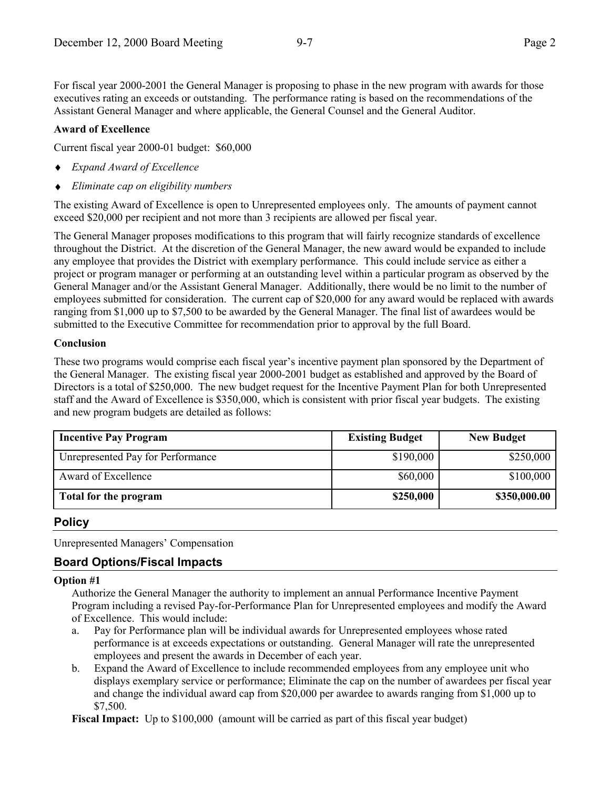For fiscal year 2000-2001 the General Manager is proposing to phase in the new program with awards for those executives rating an exceeds or outstanding. The performance rating is based on the recommendations of the Assistant General Manager and where applicable, the General Counsel and the General Auditor.

#### **Award of Excellence**

Current fiscal year 2000-01 budget: \$60,000

- ♦ *Expand Award of Excellence*
- ♦ *Eliminate cap on eligibility numbers*

The existing Award of Excellence is open to Unrepresented employees only. The amounts of payment cannot exceed \$20,000 per recipient and not more than 3 recipients are allowed per fiscal year.

The General Manager proposes modifications to this program that will fairly recognize standards of excellence throughout the District. At the discretion of the General Manager, the new award would be expanded to include any employee that provides the District with exemplary performance. This could include service as either a project or program manager or performing at an outstanding level within a particular program as observed by the General Manager and/or the Assistant General Manager. Additionally, there would be no limit to the number of employees submitted for consideration. The current cap of \$20,000 for any award would be replaced with awards ranging from \$1,000 up to \$7,500 to be awarded by the General Manager. The final list of awardees would be submitted to the Executive Committee for recommendation prior to approval by the full Board.

#### **Conclusion**

These two programs would comprise each fiscal year's incentive payment plan sponsored by the Department of the General Manager. The existing fiscal year 2000-2001 budget as established and approved by the Board of Directors is a total of \$250,000. The new budget request for the Incentive Payment Plan for both Unrepresented staff and the Award of Excellence is \$350,000, which is consistent with prior fiscal year budgets. The existing and new program budgets are detailed as follows:

| <b>Incentive Pay Program</b>      | <b>Existing Budget</b> | <b>New Budget</b> |
|-----------------------------------|------------------------|-------------------|
| Unrepresented Pay for Performance | \$190,000              | \$250,000         |
| Award of Excellence               | \$60,000               | \$100,000         |
| Total for the program             | \$250,000              | \$350,000.00      |

## **Policy**

Unrepresented Managers' Compensation

## **Board Options/Fiscal Impacts**

#### **Option #1**

Authorize the General Manager the authority to implement an annual Performance Incentive Payment Program including a revised Pay-for-Performance Plan for Unrepresented employees and modify the Award of Excellence. This would include:

- a. Pay for Performance plan will be individual awards for Unrepresented employees whose rated performance is at exceeds expectations or outstanding. General Manager will rate the unrepresented employees and present the awards in December of each year.
- b. Expand the Award of Excellence to include recommended employees from any employee unit who displays exemplary service or performance; Eliminate the cap on the number of awardees per fiscal year and change the individual award cap from \$20,000 per awardee to awards ranging from \$1,000 up to \$7,500.

**Fiscal Impact:** Up to \$100,000 (amount will be carried as part of this fiscal year budget)